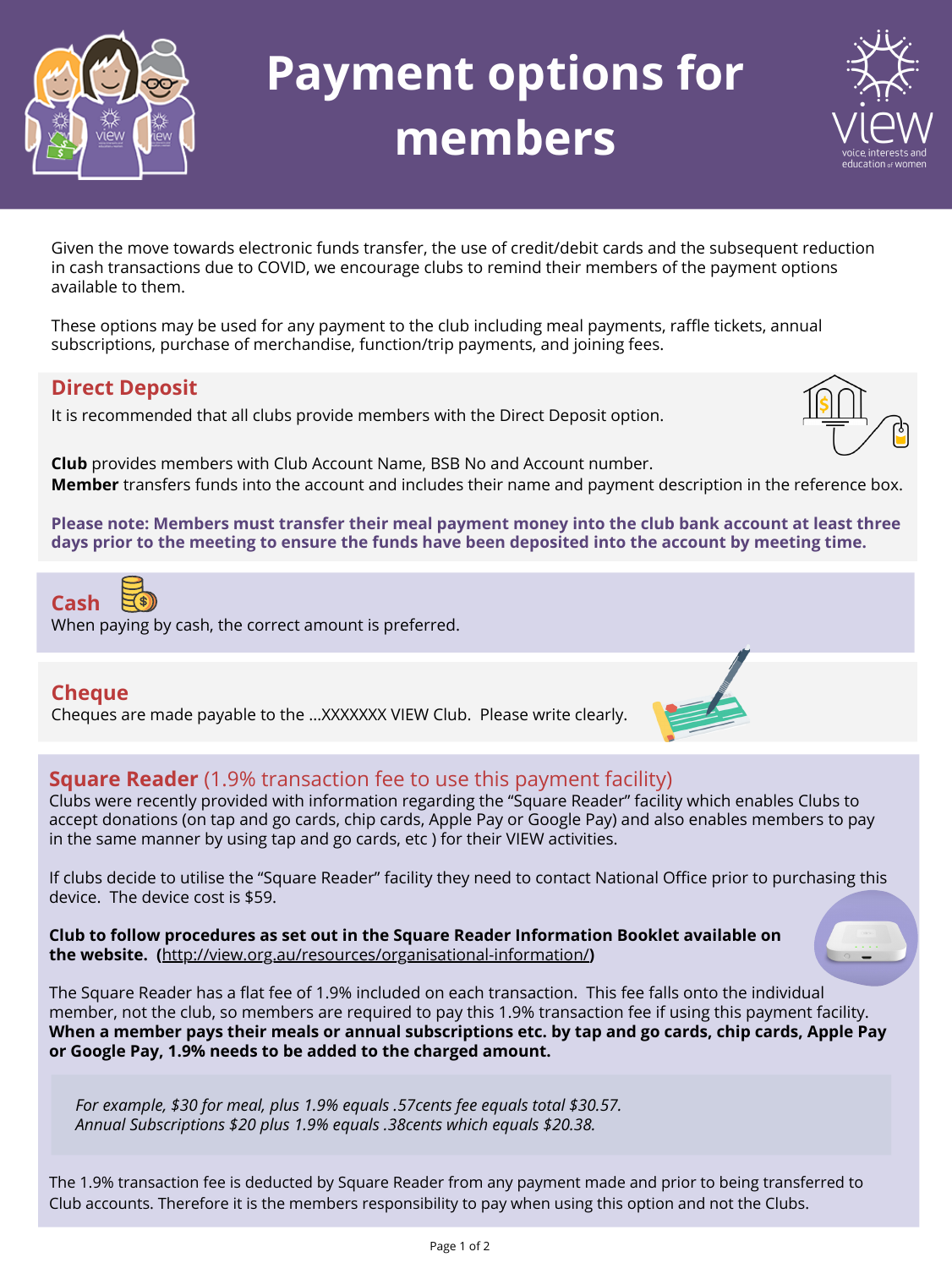#### **Direct Deposit**

It is recommended that all clubs provide members with the Direct Deposit option.

**Please note: Members must transfer their meal payment money into the club bank account at least three** days prior to the meeting to ensure the funds have been deposited into the account by meeting time.

**Club** provides members with Club Account Name, BSB No and Account number. **Member** transfers funds into the account and includes their name and payment description in the reference box.



Cheques are made payable to the …XXXXXXX VIEW Club. Please write clearly.



#### **Square Reader** (1.9% transaction fee to use this payment facility)

Clubs were recently provided with information regarding the "Square Reader" facility which enables Clubs to accept donations (on tap and go cards, chip cards, Apple Pay or Google Pay) and also enables members to pay in the same manner by using tap and go cards, etc ) for their VIEW activities.

If clubs decide to utilise the "Square Reader" facility they need to contact National Office prior to purchasing this device. The device cost is \$59.

**Club to follow procedures as set out in the Square Reader Information Booklet available on the website. (**<http://view.org.au/resources/organisational-information/>**)**



The Square Reader has a flat fee of 1.9% included on each transaction. This fee falls onto the individual member, not the club, so members are required to pay this 1.9% transaction fee if using this payment facility. When a member pays their meals or annual subscriptions etc. by tap and go cards, chip cards, Apple Pay **or Google Pay, 1.9% needs to be added to the charged amount.**

Given the move towards electronic funds transfer, the use of credit/debit cards and the subsequent reduction in cash transactions due to COVID, we encourage clubs to remind their members of the payment options available to them.

These options may be used for any payment to the club including meal payments, raffle tickets, annual subscriptions, purchase of merchandise, function/trip payments, and joining fees.

*For example, \$30 for meal, plus 1.9% equals .57cents fee equals total \$30.57. Annual Subscriptions \$20 plus 1.9% equals .38cents which equals \$20.38.*



# **Payment options for members**



The 1.9% transaction fee is deducted by Square Reader from any payment made and prior to being transferred to Club accounts. Therefore it is the members responsibility to pay when using this option and not the Clubs.